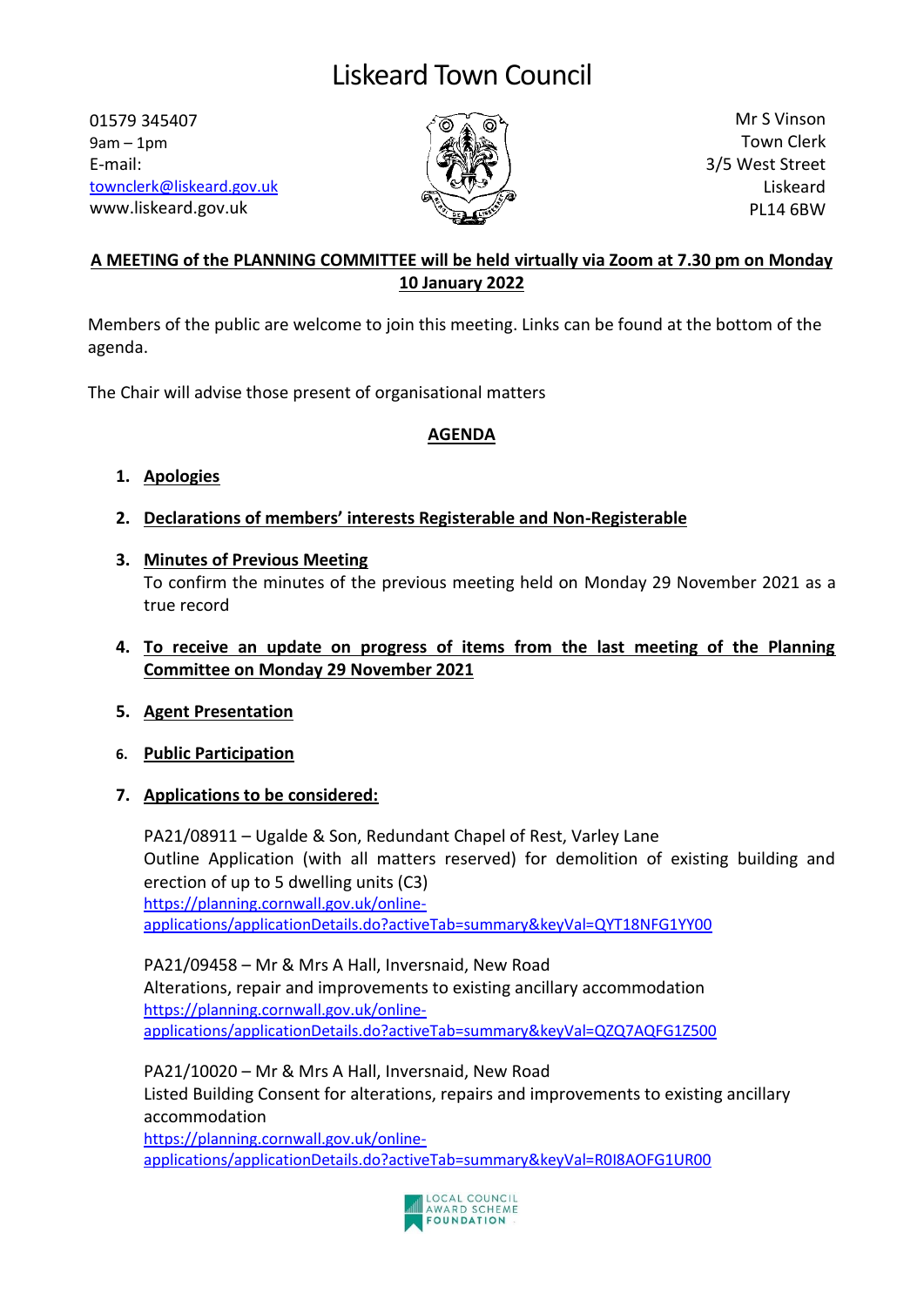# Liskeard Town Council

01579 345407  $9am - 1pm$ E-mail: [townclerk@liskeard.gov.uk](mailto:townclerk@liskeard.gov.uk) www.liskeard.gov.uk



Mr S Vinson Town Clerk 3/5 West Street Liskeard PL14 6BW

# **A MEETING of the PLANNING COMMITTEE will be held virtually via Zoom at 7.30 pm on Monday 10 January 2022**

Members of the public are welcome to join this meeting. Links can be found at the bottom of the agenda.

The Chair will advise those present of organisational matters

## **AGENDA**

- **1. Apologies**
- **2. Declarations of members' interests Registerable and Non-Registerable**
- **3. Minutes of Previous Meeting** To confirm the minutes of the previous meeting held on Monday 29 November 2021 as a true record
- **4. To receive an update on progress of items from the last meeting of the Planning Committee on Monday 29 November 2021**
- **5. Agent Presentation**
- **6. Public Participation**
- **7. Applications to be considered:**

PA21/08911 – Ugalde & Son, Redundant Chapel of Rest, Varley Lane Outline Application (with all matters reserved) for demolition of existing building and erection of up to 5 dwelling units (C3) [https://planning.cornwall.gov.uk/online](https://planning.cornwall.gov.uk/online-applications/applicationDetails.do?activeTab=summary&keyVal=QYT18NFG1YY00)[applications/applicationDetails.do?activeTab=summary&keyVal=QYT18NFG1YY00](https://planning.cornwall.gov.uk/online-applications/applicationDetails.do?activeTab=summary&keyVal=QYT18NFG1YY00)

PA21/09458 – Mr & Mrs A Hall, Inversnaid, New Road Alterations, repair and improvements to existing ancillary accommodation [https://planning.cornwall.gov.uk/online](https://planning.cornwall.gov.uk/online-applications/applicationDetails.do?activeTab=summary&keyVal=QZQ7AQFG1Z500)[applications/applicationDetails.do?activeTab=summary&keyVal=QZQ7AQFG1Z500](https://planning.cornwall.gov.uk/online-applications/applicationDetails.do?activeTab=summary&keyVal=QZQ7AQFG1Z500)

PA21/10020 – Mr & Mrs A Hall, Inversnaid, New Road Listed Building Consent for alterations, repairs and improvements to existing ancillary accommodation [https://planning.cornwall.gov.uk/online](https://planning.cornwall.gov.uk/online-applications/applicationDetails.do?activeTab=summary&keyVal=R0I8AOFG1UR00)[applications/applicationDetails.do?activeTab=summary&keyVal=R0I8AOFG1UR00](https://planning.cornwall.gov.uk/online-applications/applicationDetails.do?activeTab=summary&keyVal=R0I8AOFG1UR00)